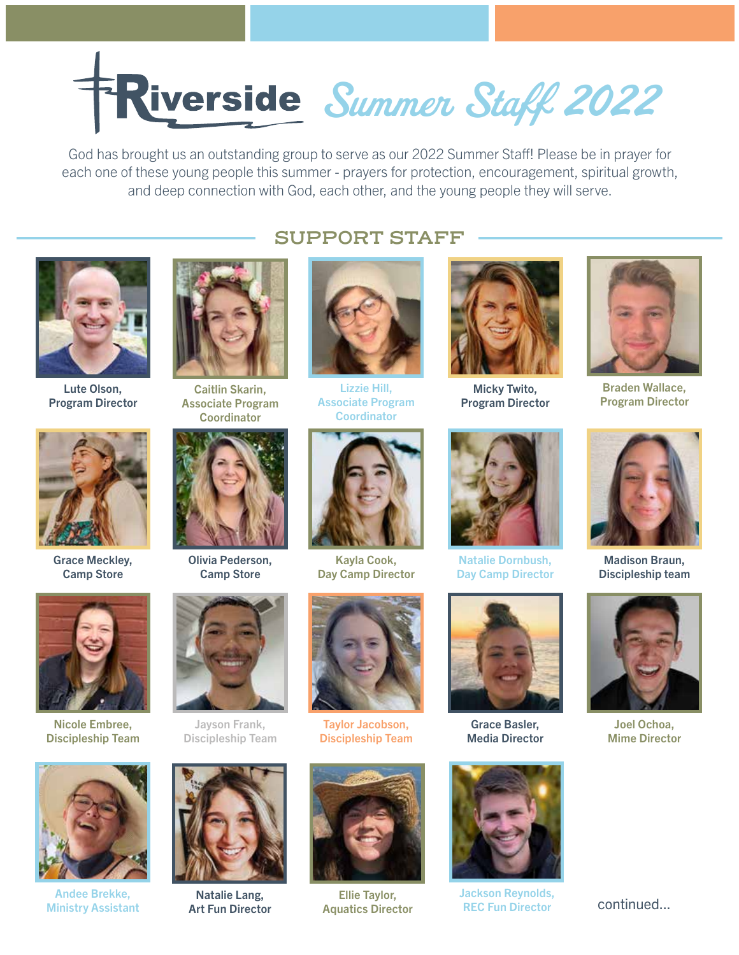

God has brought us an outstanding group to serve as our 2022 Summer Staff! Please be in prayer for each one of these young people this summer - prayers for protection, encouragement, spiritual growth, and deep connection with God, each other, and the young people they will serve.

**SUPPORT STAFF**

Lizzie Hill, Associate Program **Coordinator** 



Lute Olson, Program Director



Grace Meckley, Camp Store



Caitlin Skarin, Associate Program **Coordinator** 



Olivia Pederson, Camp Store



Nicole Embree, Discipleship Team



Andee Brekke, Ministry Assistant





Jayson Frank, Discipleship Team



Natalie Lang, Art Fun Director

# Day Camp Director

Kayla Cook,

Taylor Jacobson, Discipleship Team



Ellie Taylor,



Micky Twito, Program Director



Braden Wallace, Program Director



Natalie Dornbush, Day Camp Director



Grace Basler, Media Director



Ellie Taylor, Sackson Reynolds, Ellie Taylor, Sackson Reynolds, Continued... REC Fun Director



Madison Braun, Discipleship team



Joel Ochoa, Mime Director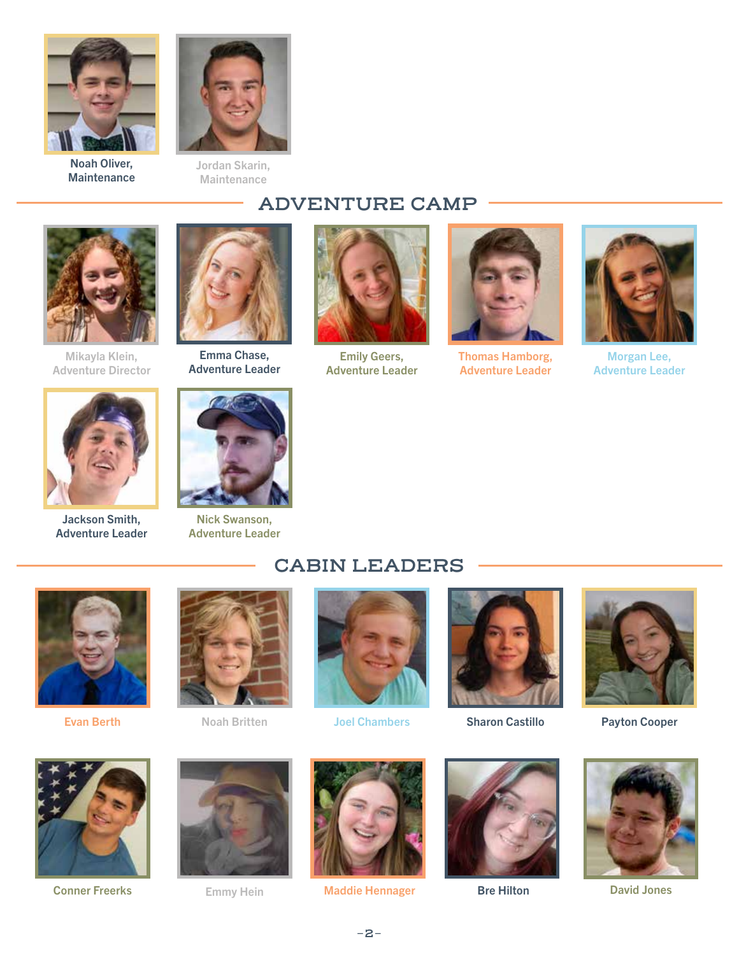



Maintenance

Noah Oliver, **Maintenance** 

# **ADVENTURE CAMP**



Mikayla Klein, Adventure Director



Jackson Smith, Adventure Leader



Emma Chase, Adventure Leader



Emily Geers, Adventure Leader



Thomas Hamborg, Adventure Leader



Morgan Lee, Adventure Leader



Nick Swanson, Adventure Leader

### **CABIN LEADERS**



Evan Berth Noah Britten





Joel Chambers



Sharon Castillo



Payton Cooper



Conner Freerks



Emmy Hein



Maddie Hennager





Bre Hilton David Jones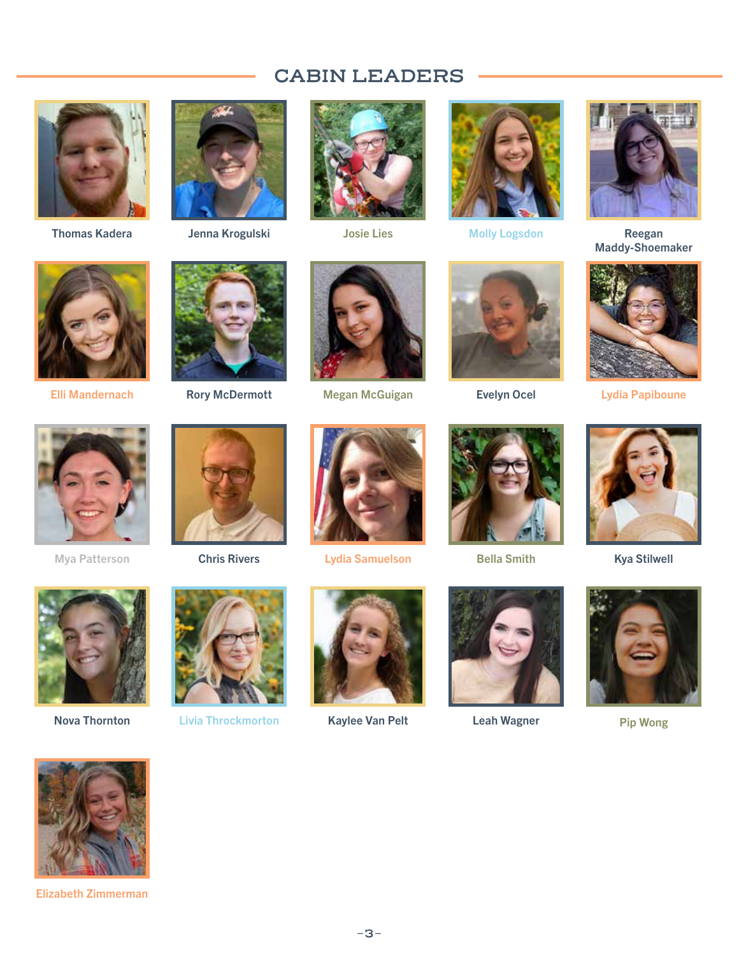## **CABIN LEADERS**



Thomas Kadera







Jenna Krogulski Josie Lies Molly Logsdon



Reegan<br>Maddy-Shoemaker



Elli Mandernach



Rory McDermott



Megan McGuigan





Evelyn Ocel **Lydia Papiboune** 



Mya Patterson





Chris Rivers Lydia Samuelson



Bella Smith



Kya Stilwell





Nova Thornton Livia Throckmorton



Kaylee Van Pelt **Leah Wagner** Pip Wong







Elizabeth Zimmerman